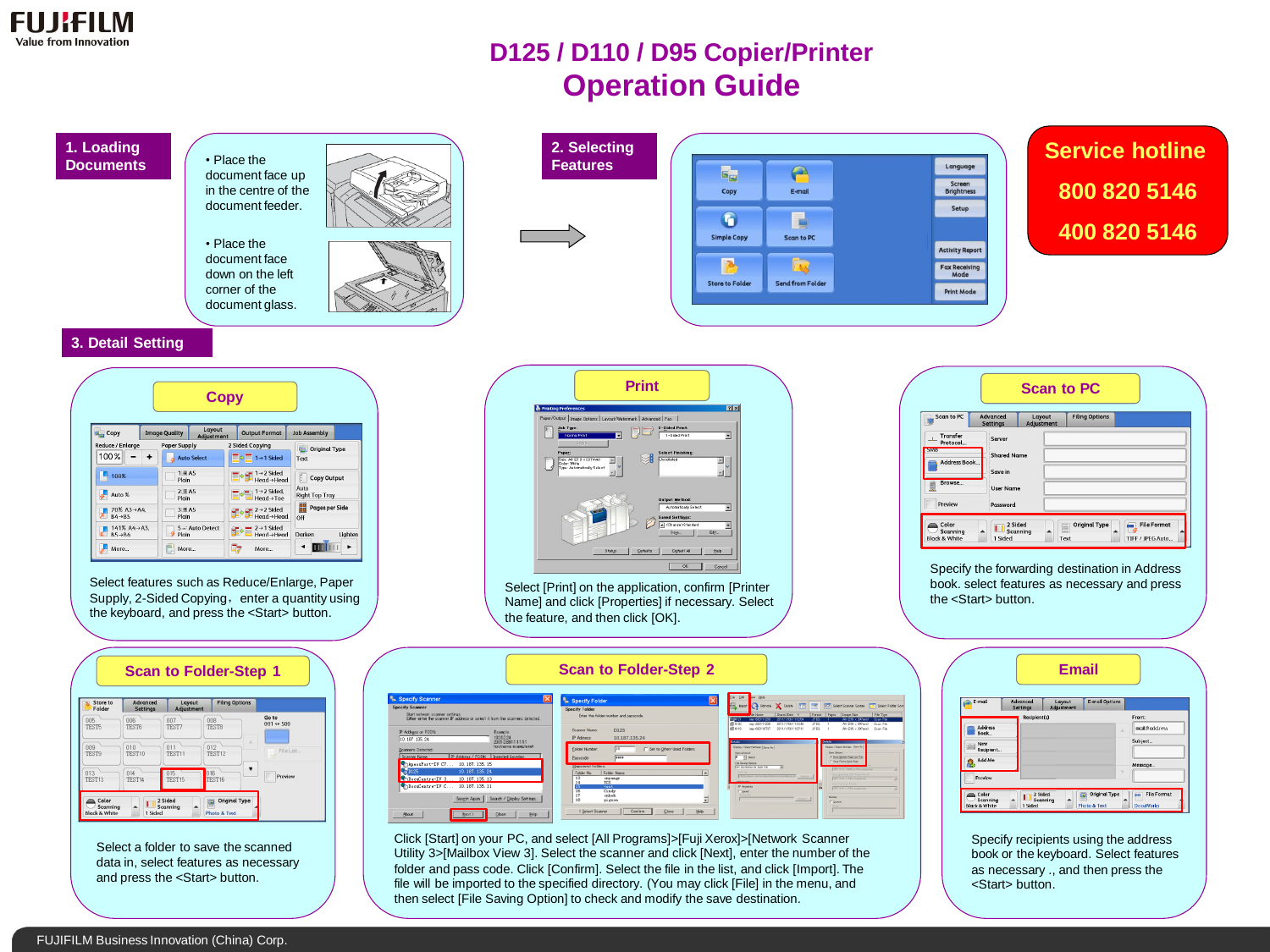

## **D125 / D110 / D95 Copier/Printer Operation Guide**

## **1. Loading Documents**

document face up in the centre of the document feeder.

• Place the

• Place the document face down on the left corner of the document glass.







**Service hotline 800 820 5146 400 820 5146**

## **3. Detail Setting**

|                                        |                        | <b>Copy</b>            |                                              |                                   |
|----------------------------------------|------------------------|------------------------|----------------------------------------------|-----------------------------------|
| G <sub>m</sub> Copy                    | <b>Image Quality</b>   | Layout<br>Adjustment   | <b>Output Format</b>                         | <b>Job Assembly</b>               |
| Reduce / Enlarge                       | <b>Paper Supply</b>    |                        | 2 Sided Copying                              | <b>Original Type</b>              |
| 100%                                   |                        | <b>Auto Select</b>     | $1 \rightarrow 1$ Sided                      | Text                              |
| 100%                                   | $1 \equiv A5$<br>Plain |                        | $\equiv 1 \rightarrow 2$ Sided<br>Head->Head | f<br>Copy Output                  |
| Auto %                                 | $2 \equiv A5$<br>Plain |                        | $1 \rightarrow 2$ Sided,<br>Head->Toe        | Auto<br><b>Right Top Tray</b>     |
| 70% A3→A4.<br>ᡒ<br>$B4 \rightarrow B5$ | $3 \equiv A5$<br>Plain |                        | $2 \rightarrow 2$ Sided<br>Head→Head         | 먦<br><b>Pages per Side</b><br>Off |
| 141% A4→A3.<br>$B5 \rightarrow B4$     | Plain                  | $5 \equiv$ Auto Detect | $2 \rightarrow 1$ Sided<br>Head-Head         | Darken<br>Lighten                 |
| More                                   | More                   |                        | More                                         | ٠                                 |

Select features such as Reduce/Enlarge, Paper Supply, 2-Sided Copying, enter a quantity using the keyboard, and press the <Start> button.

## **Print**

Select [Print] on the application, confirm [Printer Name] and click [Properties] if necessary. Select the feature, and then click [OK].

**Scan to Folder-Step 2**

| Scan to PC                | Advanced<br><b>Settings</b> | Layout<br>Adjustment | <b>Filing Options</b> |  |
|---------------------------|-----------------------------|----------------------|-----------------------|--|
| Transfer<br>ᆠ<br>Protocol | Server                      |                      |                       |  |
| <b>DOWN</b>               | <b>Shared Name</b>          |                      |                       |  |
| Address Book              | Save in                     |                      |                       |  |
| Browse                    | <b>User Name</b>            |                      |                       |  |
| Preview                   | Password                    |                      |                       |  |

Specify the forwarding destination in Address book. select features as necessary and press the <Start> button.

|                                    | <b>Filing Options</b> | Layout<br><b>Adjustment</b> | <b>Advanced</b><br><b>Settings</b> | Store to<br>Folder |
|------------------------------------|-----------------------|-----------------------------|------------------------------------|--------------------|
| Go to<br>001 $\leftrightarrow$ 500 | 008<br><b>TEST8</b>   | 007<br>TEST7                | 006<br><b>TEST6</b>                | 005<br>TEST5       |
| File List                          | ×<br>012<br>TEST12    | 011<br>TEST11               | 010<br>TEST10                      | 009<br>TEST9       |
| Preview                            | TEST <sub>16</sub>    | 015<br>016<br>TEST15        | 014<br>TEST14                      | 013<br>TEST13      |

Select a folder to save the scanned data in, select features as necessary and press the <Start> button.



Click [Start] on your PC, and select [All Programs]>[Fuji Xerox]>[Network Scanner Utility 3>[Mailbox View 3]. Select the scanner and click [Next], enter the number of the folder and pass code. Click [Confirm]. Select the file in the list, and click [Import]. The file will be imported to the specified directory. (You may click [File] in the menu, and then select [File Saving Option] to check and modify the save destination.

| E-mail                                        | Advanced<br><b>Settings</b> | Layout<br><b>Adjustment</b> | <b>E-mail Options</b>                                |                                                 |
|-----------------------------------------------|-----------------------------|-----------------------------|------------------------------------------------------|-------------------------------------------------|
|                                               | Recipient(s)                |                             |                                                      | From:                                           |
| Address<br>Book                               |                             |                             | Δ                                                    | mail@add.ress                                   |
| New<br>塑料<br>Recipient                        |                             |                             |                                                      | Subject                                         |
| Add Me<br>δ÷                                  |                             |                             |                                                      | Message                                         |
| <b>Preview</b>                                |                             |                             | $\overline{\phantom{a}}$                             |                                                 |
| Color<br>Scanning<br><b>Black &amp; White</b> | 1 Sided                     | 2 Sided<br>Scanning         | <b>Original Type</b><br>≂<br><b>Photo &amp; Text</b> | <b>File Format</b><br>éres.<br><b>DocuWorks</b> |

**Email**

Specify recipients using the address book or the keyboard. Select features as necessary ., and then press the <Start> button.